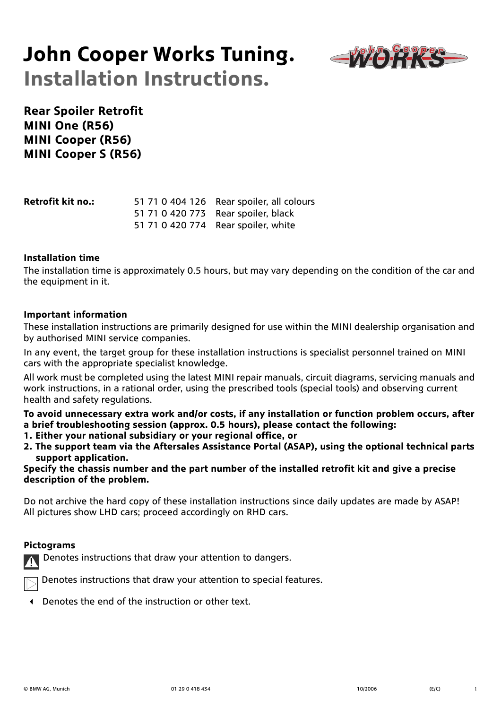# **John Cooper Works Tuning. Installation Instructions.**



**Rear Spoiler Retrofit MINI One (R56) MINI Cooper (R56) MINI Cooper S (R56)**

| <b>Retrofit kit no.:</b> | 51 71 0 404 126 Rear spoiler, all colours |
|--------------------------|-------------------------------------------|
|                          | 51 71 0 420 773 Rear spoiler, black       |
|                          | 51 71 0 420 774 Rear spoiler, white       |

#### **Installation time**

The installation time is approximately 0.5 hours, but may vary depending on the condition of the car and the equipment in it.

#### **Important information**

These installation instructions are primarily designed for use within the MINI dealership organisation and by authorised MINI service companies.

In any event, the target group for these installation instructions is specialist personnel trained on MINI cars with the appropriate specialist knowledge.

All work must be completed using the latest MINI repair manuals, circuit diagrams, servicing manuals and work instructions, in a rational order, using the prescribed tools (special tools) and observing current health and safety regulations.

**To avoid unnecessary extra work and/or costs, if any installation or function problem occurs, after a brief troubleshooting session (approx. 0.5 hours), please contact the following:**

- **1. Either your national subsidiary or your regional office, or**
- **2. The support team via the Aftersales Assistance Portal (ASAP), using the optional technical parts support application.**

**Specify the chassis number and the part number of the installed retrofit kit and give a precise description of the problem.**

Do not archive the hard copy of these installation instructions since daily updates are made by ASAP! All pictures show LHD cars; proceed accordingly on RHD cars.

#### **Pictograms**

Denotes instructions that draw your attention to dangers.



Denotes instructions that draw your attention to special features.

Denotes the end of the instruction or other text.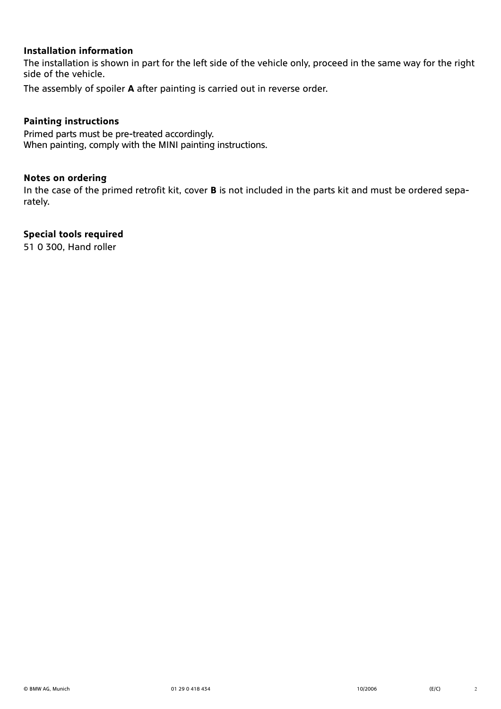### **Installation information**

The installation is shown in part for the left side of the vehicle only, proceed in the same way for the right side of the vehicle.

The assembly of spoiler **A** after painting is carried out in reverse order.

### **Painting instructions**

Primed parts must be pre-treated accordingly. When painting, comply with the MINI painting instructions.

#### **Notes on ordering**

In the case of the primed retrofit kit, cover **B** is not included in the parts kit and must be ordered separately.

### **Special tools required**

51 0 300, Hand roller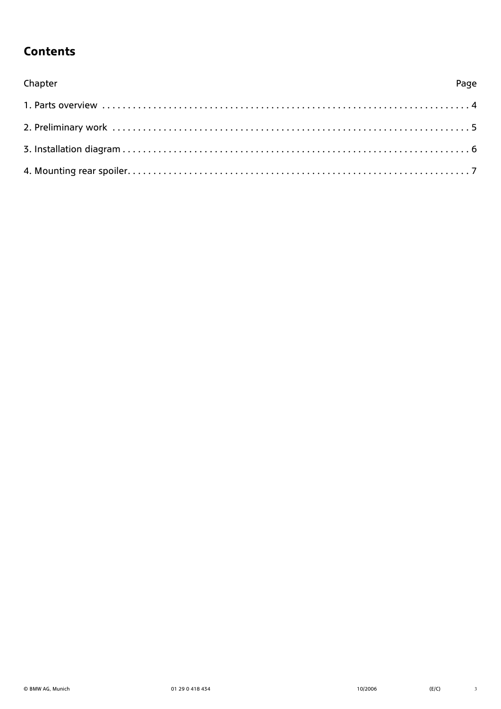### **Contents**

| Chapter | Page |
|---------|------|
|         |      |
|         |      |
|         |      |
|         |      |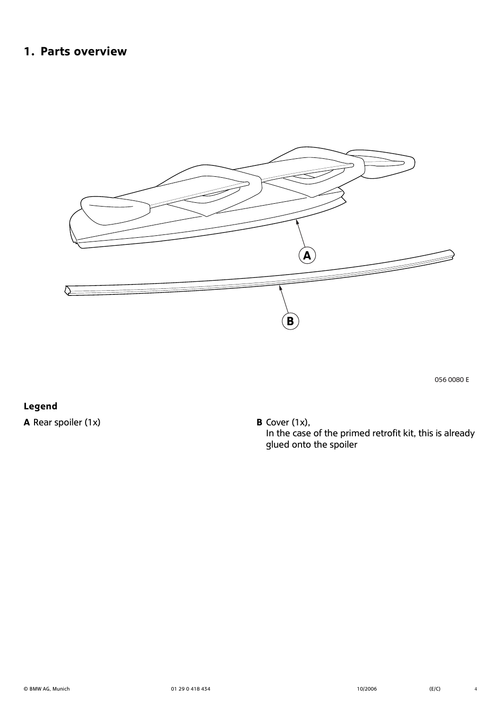### <span id="page-3-0"></span>**1. Parts overview**



056 0080 E

**Legend A** Rear spoiler (1x) **B** Cover (1x),

In the case of the primed retrofit kit, this is already glued onto the spoiler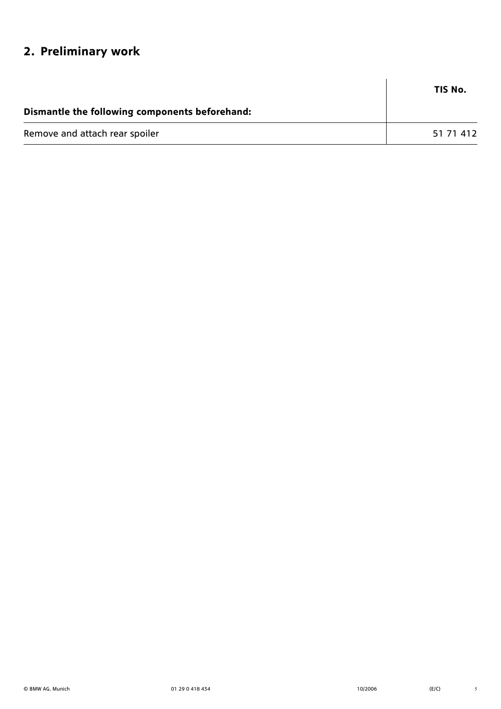## <span id="page-4-0"></span>**2. Preliminary work**

|                                                | TIS No.   |
|------------------------------------------------|-----------|
| Dismantle the following components beforehand: |           |
| Remove and attach rear spoiler                 | 51 71 412 |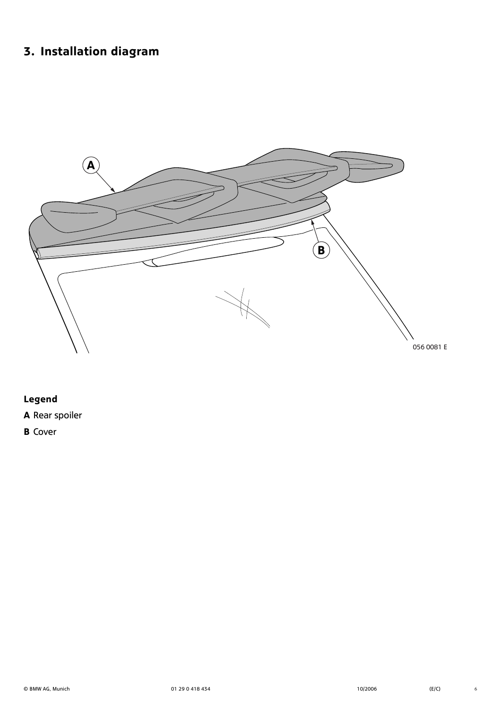# <span id="page-5-0"></span>**3. Installation diagram**



### **Legend**

**A** Rear spoiler

**B** Cover